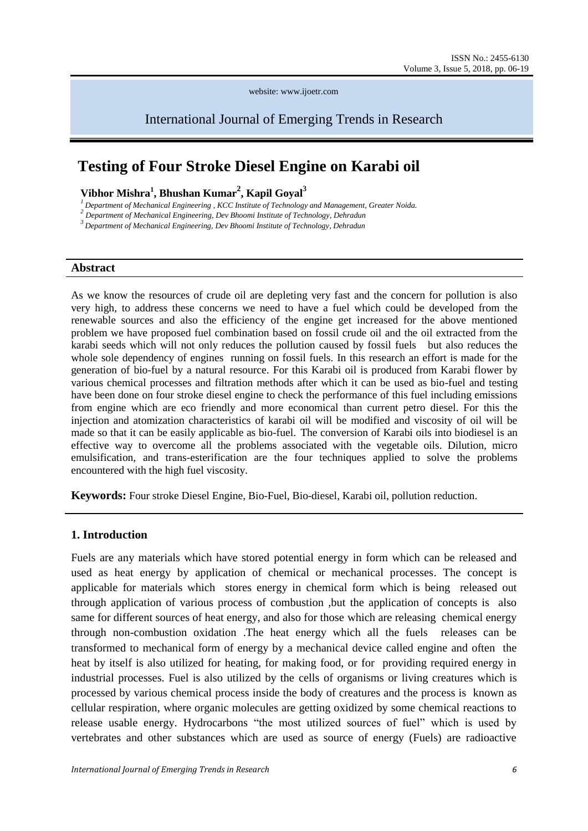website: www.ijoetr.com

International Journal of Emerging Trends in Research

# **Testing of Four Stroke Diesel Engine on Karabi oil**

## **Vibhor Mishra<sup>1</sup> , Bhushan Kumar<sup>2</sup> , Kapil Goyal<sup>3</sup>**

<sup>1</sup> Department of Mechanical Engineering , KCC Institute of Technology and Management, Greater Noida.<br><sup>2</sup> Department of Mechanical Engineering, Dev Bhoomi Institute of Technology, Dehradun

*<sup>3</sup>Department of Mechanical Engineering, Dev Bhoomi Institute of Technology, Dehradun*

#### **Abstract**

As we know the resources of crude oil are depleting very fast and the concern for pollution is also very high, to address these concerns we need to have a fuel which could be developed from the renewable sources and also the efficiency of the engine get increased for the above mentioned problem we have proposed fuel combination based on fossil crude oil and the oil extracted from the karabi seeds which will not only reduces the pollution caused by fossil fuels but also reduces the whole sole dependency of engines running on fossil fuels. In this research an effort is made for the generation of bio-fuel by a natural resource. For this Karabi oil is produced from Karabi flower by various chemical processes and filtration methods after which it can be used as bio-fuel and testing have been done on four stroke diesel engine to check the performance of this fuel including emissions from engine which are eco friendly and more economical than current petro diesel. For this the injection and atomization characteristics of karabi oil will be modified and viscosity of oil will be made so that it can be easily applicable as bio-fuel. The conversion of Karabi oils into biodiesel is an effective way to overcome all the problems associated with the vegetable oils. Dilution, micro emulsification, and trans-esterification are the four techniques applied to solve the problems encountered with the high fuel viscosity.

**Keywords:** Four stroke Diesel Engine, Bio-Fuel, Bio-diesel, Karabi oil, pollution reduction.

#### **1. Introduction**

Fuels are any materials which have stored [potential energy](http://en.wikipedia.org/wiki/Potential_energy) in form which can be released and used as [heat energy](http://en.wikipedia.org/wiki/Heat_energy) by application of chemical or mechanical processes. The concept is applicable for materials which stores energy in chemical form which is being released out through application of various process of [combustion](http://en.wikipedia.org/wiki/Combustion) ,but the application of concepts is also same for different sources of heat energy, and also for those which are releasing chemical energy through non-combustion [oxidation](http://en.wikipedia.org/wiki/Oxidation) .The heat energy which all the fuels releases can be transformed to mechanical form of energy by a mechanical device called [engine](http://en.wikipedia.org/wiki/Engine) and often the heat by itself is also utilized for heating, for making food, or for providing required energy in industrial processes. Fuel is also utilized by the [cells](http://en.wikipedia.org/wiki/Cell_%28biology%29) of [organisms](http://en.wikipedia.org/wiki/Organisms) or living creatures which is processed by various chemical process inside the body of creatures and the process is known as [cellular respiration,](http://en.wikipedia.org/wiki/Cellular_respiration) where organic molecules are getting oxidized by some chemical reactions to release usable energy. [Hydrocarbons](http://en.wikipedia.org/wiki/Hydrocarbons) "the most utilized sources of fuel" which is used by vertebrates and other substances which are used as source of energy (Fuels) are radioactive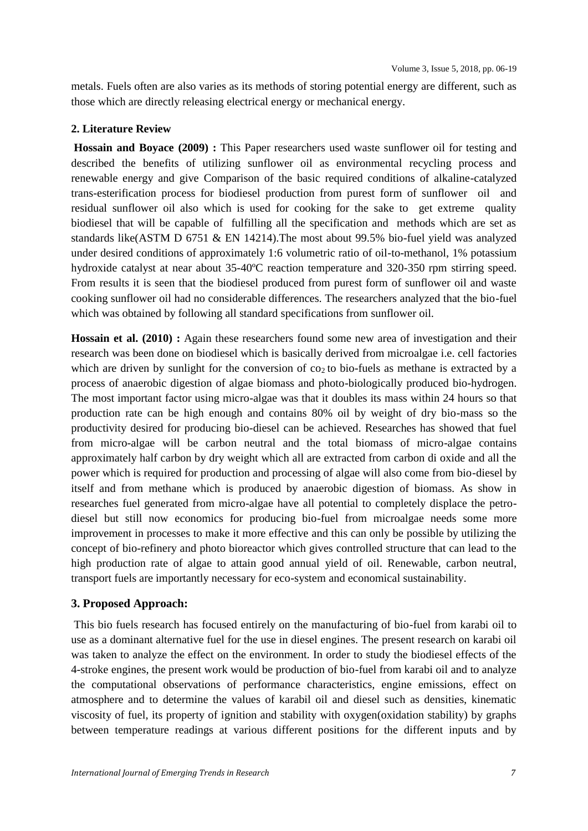metals. Fuels often are also varies as its methods of storing potential energy are different, such as those which are directly releasing [electrical energy](http://en.wikipedia.org/wiki/Electrical_energy) or [mechanical energy.](http://en.wikipedia.org/wiki/Mechanical_energy)

#### **2. Literature Review**

**Hossain and Boyace (2009) :** This Paper researchers used waste sunflower oil for testing and described the benefits of utilizing sunflower oil as environmental recycling process and renewable energy and give Comparison of the basic required conditions of alkaline-catalyzed trans-esterification process for biodiesel production from purest form of sunflower oil and residual sunflower oil also which is used for cooking for the sake to get extreme quality biodiesel that will be capable of fulfilling all the specification and methods which are set as standards like(ASTM D 6751 & EN 14214).The most about 99.5% bio-fuel yield was analyzed under desired conditions of approximately 1:6 volumetric ratio of oil-to-methanol, 1% potassium hydroxide catalyst at near about 35-40ºC reaction temperature and 320-350 rpm stirring speed. From results it is seen that the biodiesel produced from purest form of sunflower oil and waste cooking sunflower oil had no considerable differences. The researchers analyzed that the bio-fuel which was obtained by following all standard specifications from sunflower oil.

**Hossain et al. (2010) :** Again these researchers found some new area of investigation and their research was been done on biodiesel which is basically derived from microalgae i.e. cell factories which are driven by sunlight for the conversion of  $\cos$  to bio-fuels as methane is extracted by a process of anaerobic digestion of algae biomass and photo-biologically produced bio-hydrogen. The most important factor using micro-algae was that it doubles its mass within 24 hours so that production rate can be high enough and contains 80% oil by weight of dry bio-mass so the productivity desired for producing bio-diesel can be achieved. Researches has showed that fuel from micro-algae will be carbon neutral and the total biomass of micro-algae contains approximately half carbon by dry weight which all are extracted from carbon di oxide and all the power which is required for production and processing of algae will also come from bio-diesel by itself and from methane which is produced by anaerobic digestion of biomass. As show in researches fuel generated from micro-algae have all potential to completely displace the petrodiesel but still now economics for producing bio-fuel from microalgae needs some more improvement in processes to make it more effective and this can only be possible by utilizing the concept of bio-refinery and photo bioreactor which gives controlled structure that can lead to the high production rate of algae to attain good annual yield of oil. Renewable, carbon neutral, transport fuels are importantly necessary for eco-system and economical sustainability.

### **3. Proposed Approach:**

This bio fuels research has focused entirely on the manufacturing of bio-fuel from karabi oil to use as a dominant alternative fuel for the use in diesel engines. The present research on karabi oil was taken to analyze the effect on the environment. In order to study the biodiesel effects of the 4-stroke engines, the present work would be production of bio-fuel from karabi oil and to analyze the computational observations of performance characteristics, engine emissions, effect on atmosphere and to determine the values of karabil oil and diesel such as densities, kinematic viscosity of fuel, its property of ignition and stability with oxygen(oxidation stability) by graphs between temperature readings at various different positions for the different inputs and by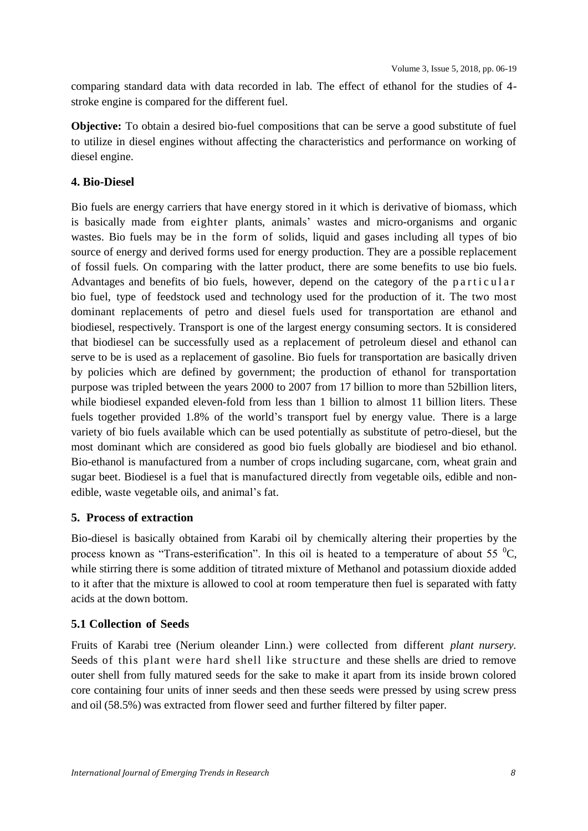comparing standard data with data recorded in lab. The effect of ethanol for the studies of 4 stroke engine is compared for the different fuel.

**Objective:** To obtain a desired bio-fuel compositions that can be serve a good substitute of fuel to utilize in diesel engines without affecting the characteristics and performance on working of diesel engine.

## **4. Bio-Diesel**

Bio fuels are energy carriers that have energy stored in it which is derivative of biomass, which is basically made from eighter plants, animals' wastes and micro-organisms and organic wastes. Bio fuels may be in the form of solids, liquid and gases including all types of bio source of energy and derived forms used for energy production. They are a possible replacement of fossil fuels. On comparing with the latter product, there are some benefits to use bio fuels. Advantages and benefits of bio fuels, however, depend on the category of the particular bio fuel, type of feedstock used and technology used for the production of it. The two most dominant replacements of petro and diesel fuels used for transportation are ethanol and biodiesel, respectively. Transport is one of the largest energy consuming sectors. It is considered that biodiesel can be successfully used as a replacement of petroleum diesel and ethanol can serve to be is used as a replacement of gasoline. Bio fuels for transportation are basically driven by policies which are defined by government; the production of ethanol for transportation purpose was tripled between the years 2000 to 2007 from 17 billion to more than 52billion liters, while biodiesel expanded eleven-fold from less than 1 billion to almost 11 billion liters. These fuels together provided 1.8% of the world's transport fuel by energy value. There is a large variety of bio fuels available which can be used potentially as substitute of petro-diesel, but the most dominant which are considered as good bio fuels globally are biodiesel and bio ethanol. Bio-ethanol is manufactured from a number of crops including sugarcane, corn, wheat grain and sugar beet. Biodiesel is a fuel that is manufactured directly from vegetable oils, edible and nonedible, waste vegetable oils, and animal's fat.

## **5. Process of extraction**

Bio-diesel is basically obtained from Karabi oil by chemically altering their properties by the process known as "Trans-esterification". In this oil is heated to a temperature of about 55  $^{\circ}C$ , while stirring there is some addition of titrated mixture of Methanol and potassium dioxide added to it after that the mixture is allowed to cool at room temperature then fuel is separated with fatty acids at the down bottom.

## **5.1 Collection of Seeds**

Fruits of Karabi tree (Nerium oleander Linn.) were collected from different *[plant nursery.](https://www.google.co.in/search?q=plant+nursery&biw=1366&bih=665&tbm=isch&tbo=u&source=univ&sa=X&ei=GmQ1U8f1BsmNrQeyt4HoBw&sqi=2&ved=0CDMQsAQ)* Seeds of this plant were hard shell like structure and these shells are dried to remove outer shell from fully matured seeds for the sake to make it apart from its inside brown colored core containing four units of inner seeds and then these seeds were pressed by using screw press and oil (58.5%) was extracted from flower seed and further filtered by filter paper.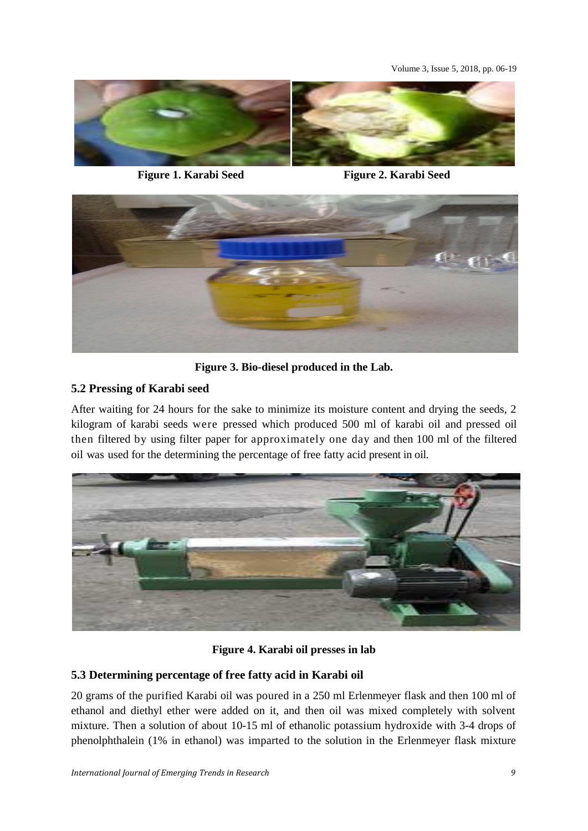Volume 3, Issue 5, 2018, pp. 06-19



**Figure 1. Karabi Seed Figure 2. Karabi Seed**



**Figure 3. Bio-diesel produced in the Lab.**

## **5.2 Pressing of Karabi seed**

After waiting for 24 hours for the sake to minimize its moisture content and drying the seeds, 2 kilogram of karabi seeds were pressed which produced 500 ml of karabi oil and pressed oil then filtered by using filter paper for approximately one day and then 100 ml of the filtered oil was used for the determining the percentage of free fatty acid present in oil.



**Figure 4. Karabi oil presses in lab**

## **5.3 Determining percentage of free fatty acid in Karabi oil**

20 grams of the purified Karabi oil was poured in a 250 ml Erlenmeyer flask and then 100 ml of ethanol and diethyl ether were added on it, and then oil was mixed completely with solvent mixture. Then a solution of about 10-15 ml of ethanolic potassium hydroxide with 3-4 drops of phenolphthalein (1% in ethanol) was imparted to the solution in the Erlenmeyer flask mixture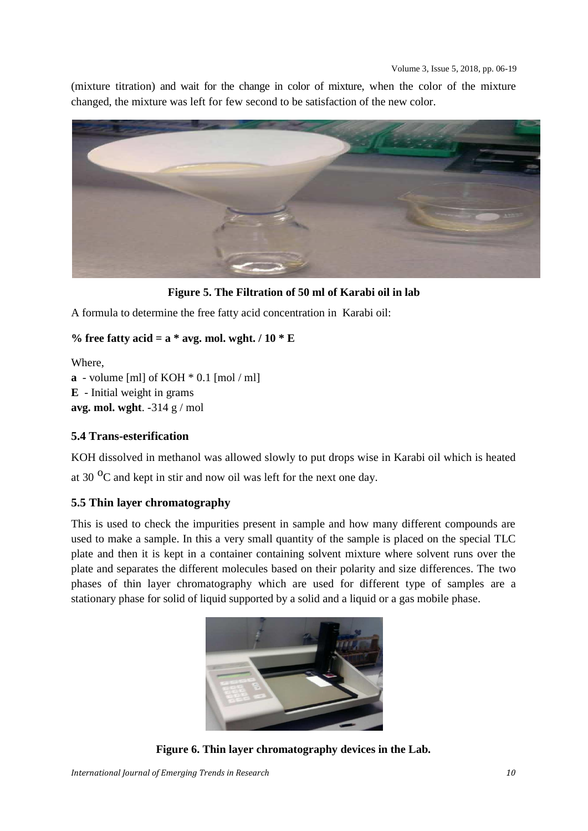(mixture titration) and wait for the change in color of mixture, when the color of the mixture changed, the mixture was left for few second to be satisfaction of the new color.



**Figure 5. The Filtration of 50 ml of Karabi oil in lab**

A formula to determine the free fatty acid concentration in Karabi oil:

## **% free fatty acid = a \* avg. mol. wght. / 10 \* E**

Where,

**a** - volume [ml] of KOH \* 0.1 [mol / ml] **E** - Initial weight in grams

**avg. mol. wght**. -314 g / mol

## **5.4 Trans-esterification**

KOH dissolved in methanol was allowed slowly to put drops wise in Karabi oil which is heated at 30 $\mathrm{^{0}C}$  and kept in stir and now oil was left for the next one day.

## **5.5 Thin layer chromatography**

This is used to check the impurities present in sample and how many different compounds are used to make a sample. In this a very small quantity of the sample is placed on the special TLC plate and then it is kept in a container containing solvent mixture where solvent runs over the plate and separates the different molecules based on their polarity and size differences. The two phases of thin layer chromatography which are used for different type of samples are a stationary phase for solid of liquid supported by a solid and a liquid or a gas mobile phase.



**Figure 6. Thin layer chromatography devices in the Lab.**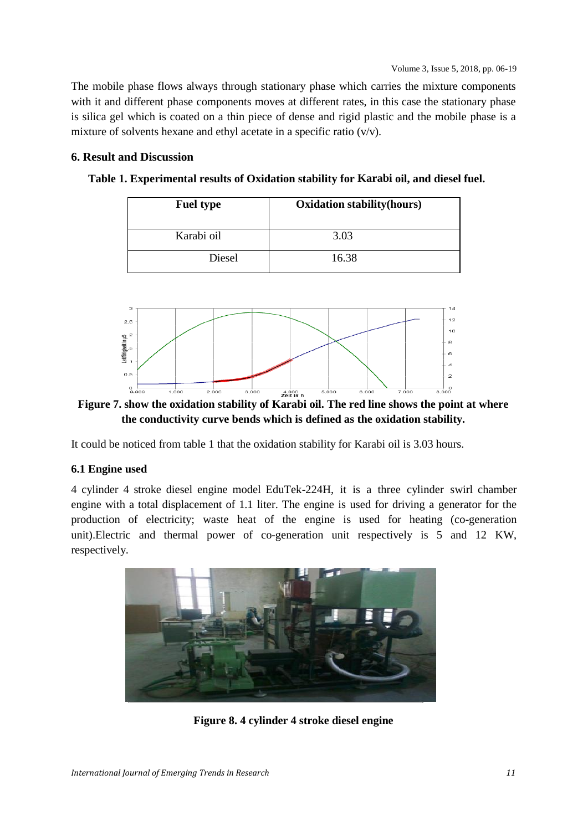The mobile phase flows always through stationary phase which carries the mixture components with it and different phase components moves at different rates, in this case the stationary phase is silica gel which is coated on a thin piece of dense and rigid plastic and the mobile phase is a mixture of solvents hexane and ethyl acetate in a specific ratio  $(v/v)$ .

#### **6. Result and Discussion**

**Table 1. Experimental results of Oxidation stability for Karabi oil, and diesel fuel.**

| <b>Fuel type</b> | <b>Oxidation stability (hours)</b> |
|------------------|------------------------------------|
| Karabi oil       | 3.03                               |
| Diesel           | 16.38                              |



**Figure 7. show the oxidation stability of Karabi oil. The red line shows the point at where the conductivity curve bends which is defined as the oxidation stability.**

It could be noticed from table 1 that the oxidation stability for Karabi oil is 3.03 hours.

### **6.1 Engine used**

4 cylinder 4 stroke diesel engine model EduTek-224H, it is a three cylinder swirl chamber engine with a total displacement of 1.1 liter. The engine is used for driving a generator for the production of electricity; waste heat of the engine is used for heating (co-generation unit).Electric and thermal power of co-generation unit respectively is 5 and 12 KW, respectively.



**Figure 8. 4 cylinder 4 stroke diesel engine**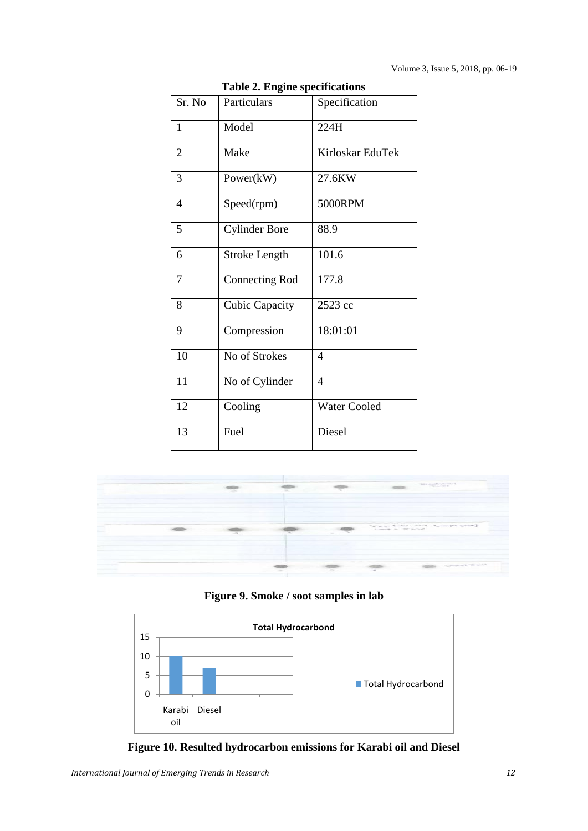|                | Table 2. Engine specifications |                          |
|----------------|--------------------------------|--------------------------|
| Sr. No         | Particulars                    | Specification            |
| 1              | Model                          | 224H                     |
| $\overline{2}$ | Make                           | Kirloskar EduTek         |
| 3              | Power(kW)                      | 27.6KW                   |
| 4              | Speed(rpm)                     | 5000RPM                  |
| 5              | <b>Cylinder Bore</b>           | 88.9                     |
| 6              | <b>Stroke Length</b>           | 101.6                    |
| 7              | <b>Connecting Rod</b>          | 177.8                    |
| 8              | <b>Cubic Capacity</b>          | 2523 cc                  |
| 9              | Compression                    | 18:01:01                 |
| 10             | No of Strokes                  | $\overline{\mathcal{A}}$ |
| 11             | No of Cylinder                 | 4                        |
| 12             | Cooling                        | <b>Water Cooled</b>      |
| 13             | Fuel                           | Diesel                   |

**Table 2. Engine specifications**



**Figure 9. Smoke / soot samples in lab**



**Figure 10. Resulted hydrocarbon emissions for Karabi oil and Diesel**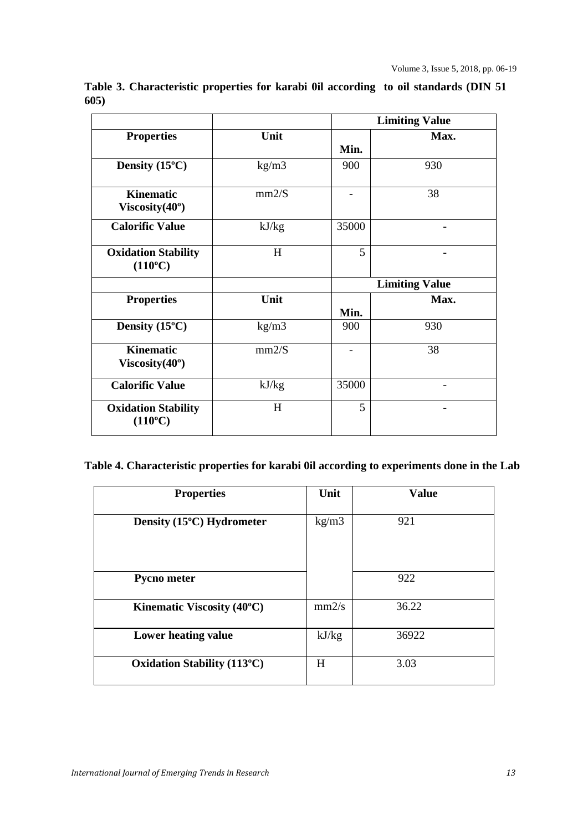|                                                |       |             | <b>Limiting Value</b> |  |  |
|------------------------------------------------|-------|-------------|-----------------------|--|--|
| <b>Properties</b>                              | Unit  | Min.        | Max.                  |  |  |
|                                                |       |             |                       |  |  |
| Density $(15^{\circ}C)$                        | kg/m3 | 900         | 930                   |  |  |
| <b>Kinematic</b><br>Viscosity $(40^{\circ})$   | mm2/S |             | 38                    |  |  |
| <b>Calorific Value</b>                         | kJ/kg | 35000       |                       |  |  |
| <b>Oxidation Stability</b><br>$(110^{\circ}C)$ | H     | 5           |                       |  |  |
|                                                |       |             |                       |  |  |
|                                                |       |             | <b>Limiting Value</b> |  |  |
| <b>Properties</b>                              | Unit  |             | Max.                  |  |  |
| Density $(15^{\circ}C)$                        | kg/m3 | Min.<br>900 | 930                   |  |  |
| <b>Kinematic</b><br>Viscosity $(40^{\circ})$   | mm2/S |             | 38                    |  |  |
| <b>Calorific Value</b>                         | kJ/kg | 35000       |                       |  |  |

**Table 3. Characteristic properties for karabi 0il according to oil standards (DIN 51 605)**

**Table 4. Characteristic properties for karabi 0il according to experiments done in the Lab**

| <b>Properties</b>                                     | Unit  | <b>Value</b> |
|-------------------------------------------------------|-------|--------------|
|                                                       |       |              |
|                                                       |       |              |
| Density (15°C) Hydrometer                             | kg/m3 | 921          |
|                                                       |       |              |
|                                                       |       |              |
|                                                       |       |              |
|                                                       |       |              |
|                                                       |       |              |
|                                                       |       |              |
| <b>Pycno meter</b>                                    |       | 922          |
|                                                       |       |              |
|                                                       |       |              |
| <b>Kinematic Viscosity (40<math>^{\circ}</math>C)</b> | mm2/s | 36.22        |
|                                                       |       |              |
|                                                       |       |              |
| Lower heating value                                   | kJ/kg | 36922        |
|                                                       |       |              |
|                                                       |       |              |
| <b>Oxidation Stability (113°C)</b>                    | H     | 3.03         |
|                                                       |       |              |
|                                                       |       |              |
|                                                       |       |              |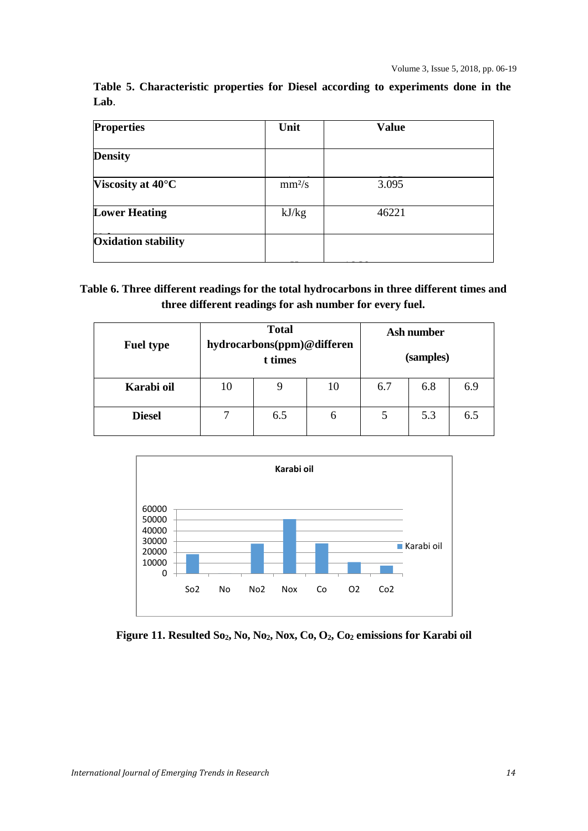|      | Table 5. Characteristic properties for Diesel according to experiments done in the |  |  |  |  |  |
|------|------------------------------------------------------------------------------------|--|--|--|--|--|
| Lab. |                                                                                    |  |  |  |  |  |

| <b>Properties</b>           | Unit               | <b>Value</b> |  |
|-----------------------------|--------------------|--------------|--|
| <b>Density</b>              |                    |              |  |
| Viscosity at $40^{\circ}$ C | mm <sup>2</sup> /s | 3.095        |  |
| <b>Lower Heating</b>        | kJ/kg              | 46221        |  |
| <b>Oxidation stability</b>  |                    |              |  |
|                             |                    |              |  |

## **Table 6. Three different readings for the total hydrocarbons in three different times and three different readings for ash number for every fuel.**

| <b>Fuel type</b> | <b>Total</b><br>hydrocarbons(ppm)@differen<br>t times |     |    | Ash number |     |     |  |
|------------------|-------------------------------------------------------|-----|----|------------|-----|-----|--|
|                  |                                                       |     |    | (samples)  |     |     |  |
| Karabi oil       | 10                                                    | 9   | 10 | 6.7        | 6.8 | 6.9 |  |
| <b>Diesel</b>    | ⇁                                                     | 6.5 | 6  |            | 5.3 | 6.5 |  |



**Figure 11. Resulted So2, No, No2, Nox, Co, O2, Co<sup>2</sup> emissions for Karabi oil**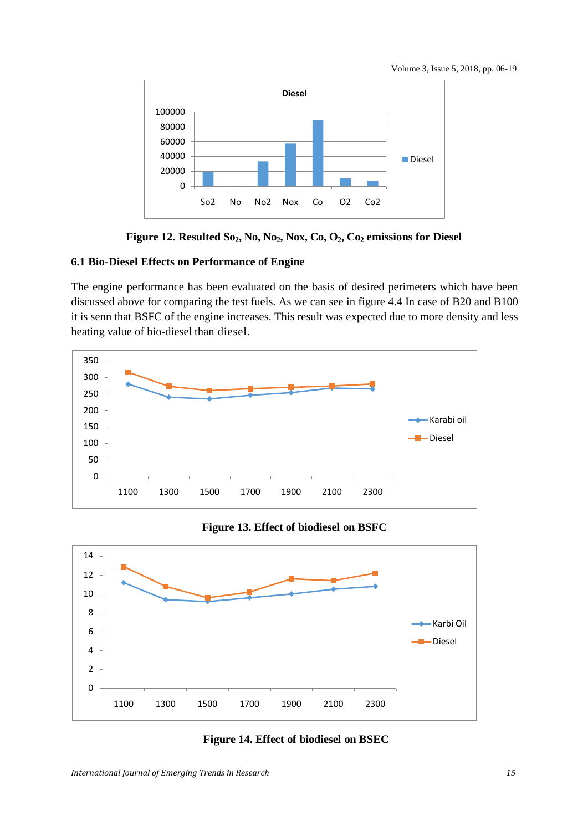



**Figure 12. Resulted So2, No, No2, Nox, Co, O2, Co<sup>2</sup> emissions for Diesel**

### **6.1 Bio-Diesel Effects on Performance of Engine**

The engine performance has been evaluated on the basis of desired perimeters which have been discussed above for comparing the test fuels. As we can see in figure 4.4 In case of B20 and B100 it is senn that BSFC of the engine increases. This result was expected due to more density and less heating value of bio-diesel than diesel.



**Figure 13. Effect of biodiesel on BSFC**



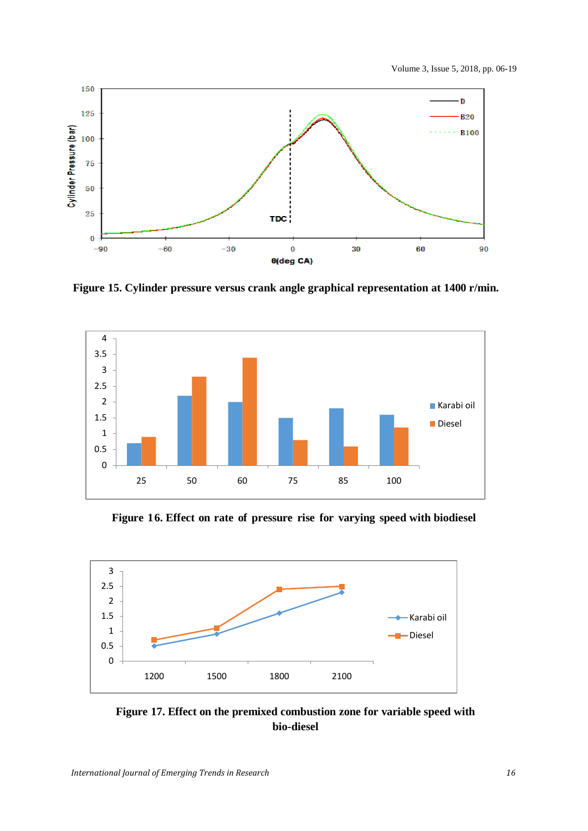

 **Figure 15. Cylinder pressure versus crank angle graphical representation at 1400 r/min.**



**Figure 16. Effect on rate of pressure rise for varying speed with biodiesel**



**Figure 17. Effect on the premixed combustion zone for variable speed with bio-diesel**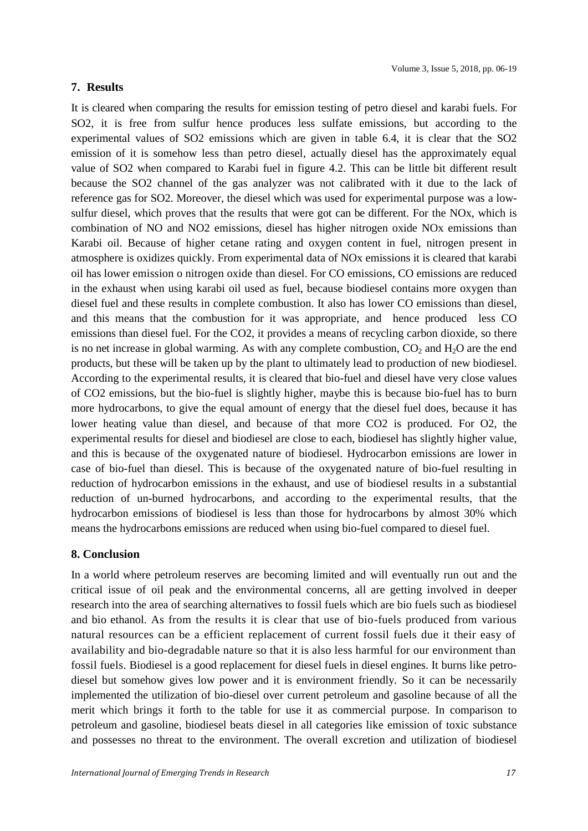#### **7. Results**

It is cleared when comparing the results for emission testing of petro diesel and karabi fuels. For SO2, it is free from sulfur hence produces less sulfate emissions, but according to the experimental values of SO2 emissions which are given in table 6.4, it is clear that the SO2 emission of it is somehow less than petro diesel, actually diesel has the approximately equal value of SO2 when compared to Karabi fuel in figure 4.2. This can be little bit different result because the SO2 channel of the gas analyzer was not calibrated with it due to the lack of reference gas for SO2. Moreover, the diesel which was used for experimental purpose was a lowsulfur diesel, which proves that the results that were got can be different. For the NOx, which is combination of NO and NO2 emissions, diesel has higher nitrogen oxide NOx emissions than Karabi oil. Because of higher cetane rating and oxygen content in fuel, nitrogen present in atmosphere is oxidizes quickly. From experimental data of NOx emissions it is cleared that karabi oil has lower emission o nitrogen oxide than diesel. For CO emissions, CO emissions are reduced in the exhaust when using karabi oil used as fuel, because biodiesel contains more oxygen than diesel fuel and these results in complete combustion. It also has lower CO emissions than diesel, and this means that the combustion for it was appropriate, and hence produced less CO emissions than diesel fuel. For the CO2, it provides a means of recycling carbon dioxide, so there is no net increase in global warming. As with any complete combustion,  $CO<sub>2</sub>$  and  $H<sub>2</sub>O$  are the end products, but these will be taken up by the plant to ultimately lead to production of new biodiesel. According to the experimental results, it is cleared that bio-fuel and diesel have very close values of CO2 emissions, but the bio-fuel is slightly higher, maybe this is because bio-fuel has to burn more hydrocarbons, to give the equal amount of energy that the diesel fuel does, because it has lower heating value than diesel, and because of that more CO2 is produced. For O2, the experimental results for diesel and biodiesel are close to each, biodiesel has slightly higher value, and this is because of the oxygenated nature of biodiesel. Hydrocarbon emissions are lower in case of bio-fuel than diesel. This is because of the oxygenated nature of bio-fuel resulting in reduction of hydrocarbon emissions in the exhaust, and use of biodiesel results in a substantial reduction of un-burned hydrocarbons, and according to the experimental results, that the hydrocarbon emissions of biodiesel is less than those for hydrocarbons by almost 30% which means the hydrocarbons emissions are reduced when using bio-fuel compared to diesel fuel.

#### **8. Conclusion**

In a world where petroleum reserves are becoming limited and will eventually run out and the critical issue of oil peak and the environmental concerns, all are getting involved in deeper research into the area of searching alternatives to fossil fuels which are bio fuels such as biodiesel and bio ethanol. As from the results it is clear that use of bio-fuels produced from various natural resources can be a efficient replacement of current fossil fuels due it their easy of availability and bio-degradable nature so that it is also less harmful for our environment than fossil fuels. Biodiesel is a good replacement for diesel fuels in diesel engines. It burns like petrodiesel but somehow gives low power and it is environment friendly. So it can be necessarily implemented the utilization of bio-diesel over current petroleum and gasoline because of all the merit which brings it forth to the table for use it as commercial purpose. In comparison to petroleum and gasoline, biodiesel beats diesel in all categories like emission of toxic substance and possesses no threat to the environment. The overall excretion and utilization of biodiesel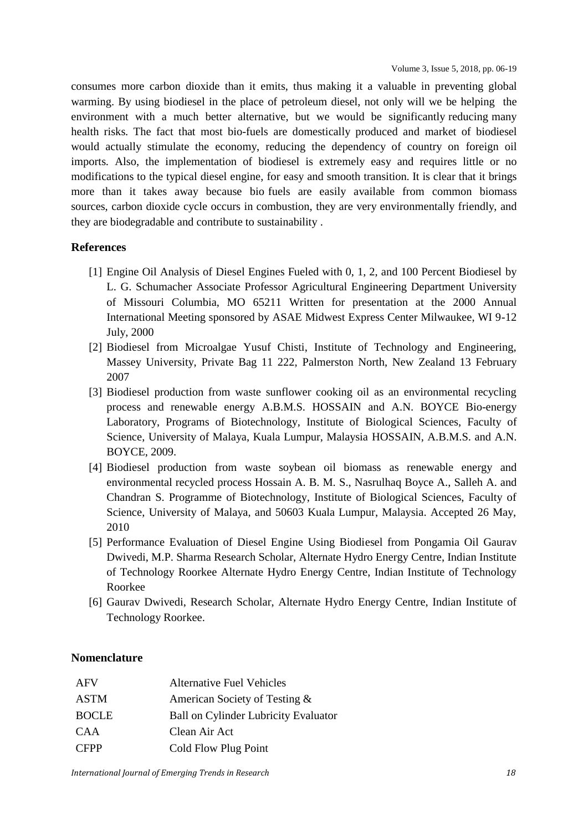consumes more carbon dioxide than it emits, thus making it a valuable in preventing global warming. By using biodiesel in the place of petroleum diesel, not only will we be helping the environment with a much better alternative, but we would be significantly reducing many health risks. The fact that most bio-fuels are domestically produced and market of biodiesel would actually stimulate the economy, reducing the dependency of country on foreign oil imports. Also, the implementation of biodiesel is extremely easy and requires little or no modifications to the typical diesel engine, for easy and smooth transition. It is clear that it brings more than it takes away because bio fuels are easily available from common biomass sources, carbon dioxide cycle occurs in combustion, they are very environmentally friendly, and they are biodegradable and contribute to sustainability .

#### **References**

- [1] Engine Oil Analysis of Diesel Engines Fueled with 0, 1, 2, and 100 Percent Biodiesel by L. G. Schumacher Associate Professor Agricultural Engineering Department University of Missouri Columbia, MO 65211 Written for presentation at the 2000 Annual International Meeting sponsored by ASAE Midwest Express Center Milwaukee, WI 9-12 July, 2000
- [2] Biodiesel from Microalgae Yusuf Chisti, Institute of Technology and Engineering, Massey University, Private Bag 11 222, Palmerston North, New Zealand 13 February 2007
- [3] Biodiesel production from waste sunflower cooking oil as an environmental recycling process and renewable energy A.B.M.S. HOSSAIN and A.N. BOYCE Bio-energy Laboratory, Programs of Biotechnology, Institute of Biological Sciences, Faculty of Science, University of Malaya, Kuala Lumpur, Malaysia HOSSAIN, A.B.M.S. and A.N. BOYCE, 2009.
- [4] Biodiesel production from waste soybean oil biomass as renewable energy and environmental recycled process Hossain A. B. M. S., Nasrulhaq Boyce A., Salleh A. and Chandran S. Programme of Biotechnology, Institute of Biological Sciences, Faculty of Science, University of Malaya, and 50603 Kuala Lumpur, Malaysia. Accepted 26 May, 2010
- [5] Performance Evaluation of Diesel Engine Using Biodiesel from Pongamia Oil Gaurav Dwivedi, M.P. Sharma Research Scholar, Alternate Hydro Energy Centre, Indian Institute of Technology Roorkee Alternate Hydro Energy Centre, Indian Institute of Technology Roorkee
- [6] Gaurav Dwivedi, Research Scholar, Alternate Hydro Energy Centre, Indian Institute of Technology Roorkee.

#### **Nomenclature**

| AFV          | <b>Alternative Fuel Vehicles</b>            |
|--------------|---------------------------------------------|
| <b>ASTM</b>  | American Society of Testing &               |
| <b>BOCLE</b> | <b>Ball on Cylinder Lubricity Evaluator</b> |
| <b>CAA</b>   | Clean Air Act                               |
| <b>CFPP</b>  | Cold Flow Plug Point                        |

*International Journal of Emerging Trends in Research 18*